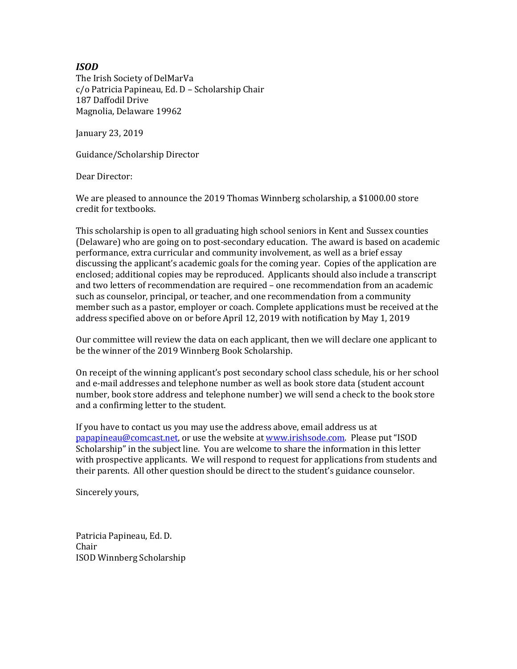## *ISOD*

The Irish Society of DelMarVa c/o Patricia Papineau, Ed. D – Scholarship Chair 187 Daffodil Drive Magnolia, Delaware 19962

January 23, 2019

Guidance/Scholarship Director

Dear Director:

We are pleased to announce the 2019 Thomas Winnberg scholarship, a \$1000.00 store credit for textbooks.

This scholarship is open to all graduating high school seniors in Kent and Sussex counties (Delaware) who are going on to post-secondary education. The award is based on academic performance, extra curricular and community involvement, as well as a brief essay discussing the applicant's academic goals for the coming year. Copies of the application are enclosed; additional copies may be reproduced. Applicants should also include a transcript and two letters of recommendation are required – one recommendation from an academic such as counselor, principal, or teacher, and one recommendation from a community member such as a pastor, employer or coach. Complete applications must be received at the address specified above on or before April 12, 2019 with notification by May 1, 2019

Our committee will review the data on each applicant, then we will declare one applicant to be the winner of the 2019 Winnberg Book Scholarship.

On receipt of the winning applicant's post secondary school class schedule, his or her school and e-mail addresses and telephone number as well as book store data (student account number, book store address and telephone number) we will send a check to the book store and a confirming letter to the student.

If you have to contact us you may use the address above, email address us at [papapineau@comcast.net,](mailto:papapineau@comcast.net) or use the website at [www.irishsode.com.](http://www.irishsode.com/) Please put "ISOD Scholarship" in the subject line. You are welcome to share the information in this letter with prospective applicants. We will respond to request for applications from students and their parents. All other question should be direct to the student's guidance counselor.

Sincerely yours,

Patricia Papineau, Ed. D. Chair ISOD Winnberg Scholarship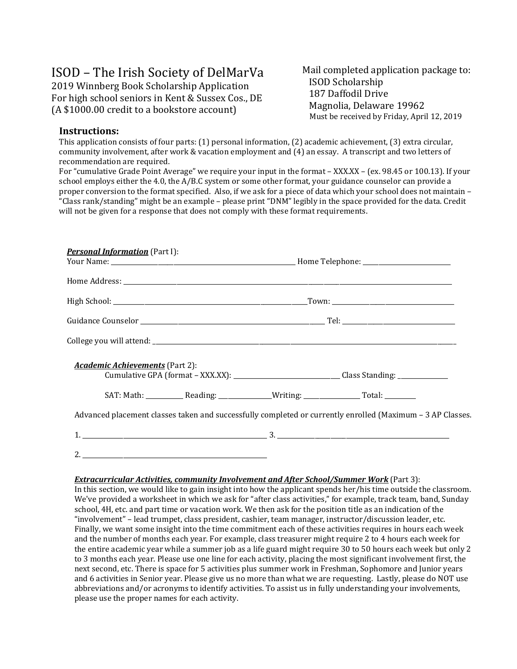# ISOD – The Irish Society of DelMarVa

2019 Winnberg Book Scholarship Application For high school seniors in Kent & Sussex Cos., DE (A \$1000.00 credit to a bookstore account)

Mail completed application package to: ISOD Scholarship 187 Daffodil Drive Magnolia, Delaware 19962 Must be received by Friday, April 12, 2019

## **Instructions:**

This application consists of four parts: (1) personal information, (2) academic achievement, (3) extra circular, community involvement, after work & vacation employment and (4) an essay. A transcript and two letters of recommendation are required.

For "cumulative Grade Point Average" we require your input in the format – XXX.XX – (ex. 98.45 or 100.13). If your school employs either the 4.0, the A/B.C system or some other format, your guidance counselor can provide a proper conversion to the format specified. Also, if we ask for a piece of data which your school does not maintain – "Class rank/standing" might be an example – please print "DNM" legibly in the space provided for the data. Credit will not be given for a response that does not comply with these format requirements.

| <b>Personal Information</b> (Part I):                                                                                                         |  |  |  |
|-----------------------------------------------------------------------------------------------------------------------------------------------|--|--|--|
|                                                                                                                                               |  |  |  |
|                                                                                                                                               |  |  |  |
|                                                                                                                                               |  |  |  |
|                                                                                                                                               |  |  |  |
|                                                                                                                                               |  |  |  |
| <b>Academic Achievements</b> (Part 2):<br>Cumulative GPA (format - XXX.XX): ________________________________Class Standing: _________________ |  |  |  |
|                                                                                                                                               |  |  |  |
| Advanced placement classes taken and successfully completed or currently enrolled (Maximum - 3 AP Classes.                                    |  |  |  |
|                                                                                                                                               |  |  |  |
|                                                                                                                                               |  |  |  |
|                                                                                                                                               |  |  |  |

#### *Extracurricular Activities, community Involvement and After School/Summer Work* (Part 3):

In this section, we would like to gain insight into how the applicant spends her/his time outside the classroom. We've provided a worksheet in which we ask for "after class activities," for example, track team, band, Sunday school, 4H, etc. and part time or vacation work. We then ask for the position title as an indication of the "involvement" – lead trumpet, class president, cashier, team manager, instructor/discussion leader, etc. Finally, we want some insight into the time commitment each of these activities requires in hours each week and the number of months each year. For example, class treasurer might require 2 to 4 hours each week for the entire academic year while a summer job as a life guard might require 30 to 50 hours each week but only 2 to 3 months each year. Please use one line for each activity, placing the most significant involvement first, the next second, etc. There is space for 5 activities plus summer work in Freshman, Sophomore and Junior years and 6 activities in Senior year. Please give us no more than what we are requesting. Lastly, please do NOT use abbreviations and/or acronyms to identify activities. To assist us in fully understanding your involvements, please use the proper names for each activity.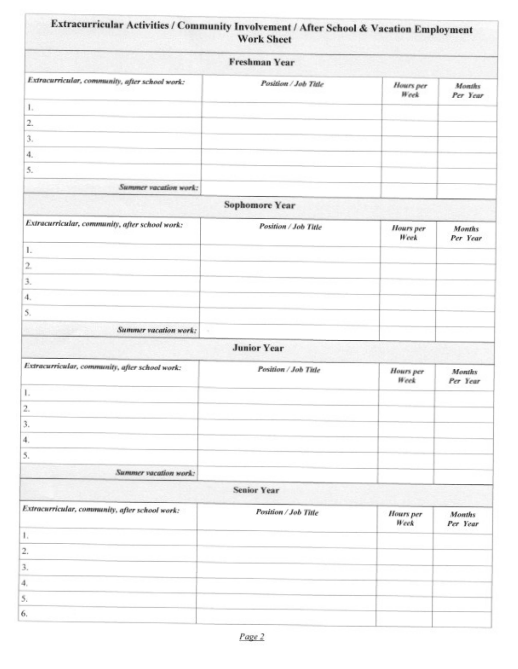| Extracurricular Activities / Community Involvement / After School & Vacation Employment<br><b>Work Sheet</b><br><b>Freshman Year</b> |                       |                          |                           |  |
|--------------------------------------------------------------------------------------------------------------------------------------|-----------------------|--------------------------|---------------------------|--|
|                                                                                                                                      |                       |                          |                           |  |
| 1.                                                                                                                                   |                       |                          |                           |  |
| 2.                                                                                                                                   |                       |                          |                           |  |
| 3.                                                                                                                                   |                       |                          |                           |  |
| 4.                                                                                                                                   |                       |                          |                           |  |
| 5.                                                                                                                                   |                       |                          |                           |  |
| Summer vacation work:                                                                                                                |                       |                          |                           |  |
|                                                                                                                                      | <b>Sophomore Year</b> |                          |                           |  |
| Extracurricular, community, after school work:                                                                                       | Position / Job Title  | <b>Hours</b> per<br>Week | <b>Months</b><br>Per Year |  |
| 1.                                                                                                                                   |                       |                          |                           |  |
| 2.                                                                                                                                   |                       |                          |                           |  |
| 3.                                                                                                                                   |                       |                          |                           |  |
| 4.                                                                                                                                   |                       |                          |                           |  |
| 5,                                                                                                                                   |                       |                          |                           |  |
| Summer vacation work:<br>×                                                                                                           |                       |                          |                           |  |
|                                                                                                                                      | <b>Junior Year</b>    |                          |                           |  |
| Extracurricular, community, after school work:                                                                                       | Position / Job Title  |                          |                           |  |
|                                                                                                                                      |                       | <b>Hours</b> per<br>Week | <b>Months</b><br>Per Year |  |
| 1.                                                                                                                                   |                       |                          |                           |  |
| 2.                                                                                                                                   |                       |                          |                           |  |
| 3.                                                                                                                                   |                       |                          |                           |  |
| $\mathbf{4}$                                                                                                                         |                       |                          |                           |  |
| 5.                                                                                                                                   |                       |                          |                           |  |
| Summer vacation work:                                                                                                                |                       |                          |                           |  |
|                                                                                                                                      | <b>Senior Year</b>    |                          |                           |  |
| Extracurricular, community, after school work:                                                                                       | Position / Job Title  | <b>Hours</b> per<br>Week | <b>Months</b><br>Per Year |  |
| 1.                                                                                                                                   |                       |                          |                           |  |
| 2.                                                                                                                                   |                       |                          |                           |  |
| 3.                                                                                                                                   |                       |                          |                           |  |
| $\boldsymbol{4}$                                                                                                                     |                       |                          |                           |  |
| 5.                                                                                                                                   |                       |                          |                           |  |
| 6.                                                                                                                                   |                       |                          |                           |  |